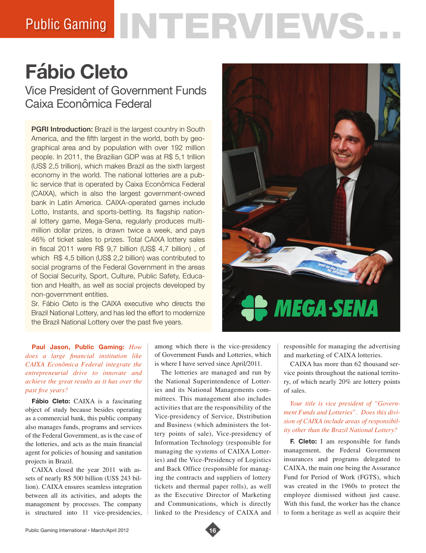# Public Gaming NTERVIEWS.

## **Fábio Cleto**

Vice President of Government Funds Caixa Econômica Federal

**PGRI Introduction:** Brazil is the largest country in South America, and the fifth largest in the world, both by geographical area and by population with over 192 million people. In 2011, the Brazilian GDP was at R\$ 5,1 trillion (US\$ 2,5 trillion), which makes Brazil as the sixth largest economy in the world. The national lotteries are a public service that is operated by Caixa Econômica Federal (CAIXA), which is also the largest government-owned bank in Latin America. CAIXA-operated games include Lotto, Instants, and sports-betting. Its flagship national lottery game, Mega-Sena, regularly produces multimillion dollar prizes, is drawn twice a week, and pays 46% of ticket sales to prizes. Total CAIXA lottery sales in fiscal 2011 were R\$ 9,7 billion (US\$ 4,7 billion) , of which R\$ 4,5 billion (US\$ 2,2 billion) was contributed to social programs of the Federal Government in the areas of Social Security, Sport, Culture, Public Safety, Education and Health, as well as social projects developed by non-government entities.

Sr. Fábio Cleto is the CAIXA executive who directs the Brazil National Lottery, and has led the effort to modernize the Brazil National Lottery over the past five years.

# **MEGA-SENA**

**Paul Jason, Public Gaming:** *How does a large financial institution like CAIXA Econômica Federal integrate the entrepreneurial drive to innovate and achieve the great results as it has over the past five years?*

**Fábio Cleto:** CAIXA is a fascinating object of study because besides operating as a commercial bank, this public company also manages funds, programs and services of the Federal Government, as is the case of the lotteries, and acts as the main financial agent for policies of housing and sanitation projects in Brazil.

CAIXA closed the year 2011 with assets of nearly R\$ 500 billion (US\$ 243 billion). CAIXA ensures seamless integration between all its activities, and adopts the management by processes. The company is structured into 11 vice-presidencies, among which there is the vice-presidency of Government Funds and Lotteries, which is where I have served since April/2011.

The lotteries are managed and run by the National Superintendence of Lotteries and its National Managements committees. This management also includes activities that are the responsibility of the Vice-presidency of Service, Distribution and Business (which administers the lottery points of sale), Vice-presidency of Information Technology (responsible for managing the systems of CAIXA Lotteries) and the Vice-Presidency of Logistics and Back Office (responsible for managing the contracts and suppliers of lottery tickets and thermal paper rolls), as well as the Executive Director of Marketing and Communications, which is directly linked to the Presidency of CAIXA and

responsible for managing the advertising and marketing of CAIXA lotteries.

CAIXA has more than 62 thousand service points throughout the national territory, of which nearly 20% are lottery points of sales.

### *Your title is vice president of "Government Funds and Lotteries". Does this division of CAIXA include areas of responsibility other than the Brazil National Lottery?*

**F. Cleto:** I am responsible for funds management, the Federal Government insurances and programs delegated to CAIXA, the main one being the Assurance Fund for Period of Work (FGTS), which was created in the 1960s to protect the employee dismissed without just cause. With this fund, the worker has the chance to form a heritage as well as acquire their

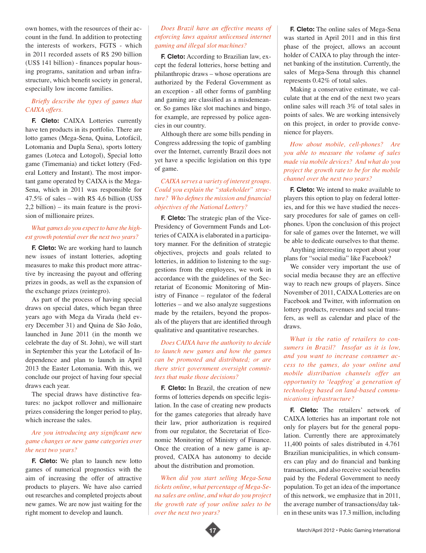own homes, with the resources of their account in the fund. In addition to protecting the interests of workers, FGTS - which in 2011 recorded assets of R\$ 290 billion (US\$ 141 billion) - finances popular housing programs, sanitation and urban infrastructure, which benefit society in general, especially low income families.

### *Briefly describe the types of games that CAIXA offers.*

**F. Cleto:** CAIXA Lotteries currently have ten products in its portfolio. There are lotto games (Mega-Sena, Quina, Lotofácil, Lotomania and Dupla Sena), sports lottery games (Loteca and Lotogol), Special lotto game (Timemania) and ticket lottery (Federal Lottery and Instant). The most important game operated by CAIXA is the Mega-Sena, which in 2011 was responsible for  $47.5\%$  of sales – with R\$ 4,6 billion (US\$) 2,2 billion) – its main feature is the provision of millionaire prizes.

### *What games do you expect to have the highest growth potential over the next two years?*

**F. Cleto:** We are working hard to launch new issues of instant lotteries, adopting measures to make this product more attractive by increasing the payout and offering prizes in goods, as well as the expansion of the exchange prizes (reintegro).

As part of the process of having special draws on special dates, which began three years ago with Mega da Virada (held every December 31) and Quina de São João, launched in June 2011 (in the month we celebrate the day of St. John), we will start in September this year the Lotofacil of Independence and plan to launch in April 2013 the Easter Lotomania. With this, we conclude our project of having four special draws each year.

The special draws have distinctive features: no jackpot rollover and millionaire prizes considering the longer period to play, which increase the sales.

### *Are you introducing any significant new game changes or new game categories over the next two years?*

**F. Cleto:** We plan to launch new lotto games of numerical prognostics with the aim of increasing the offer of attractive products to players. We have also carried out researches and completed projects about new games. We are now just waiting for the right moment to develop and launch.

### *Does Brazil have an effective means of enforcing laws against unlicensed internet gaming and illegal slot machines?*

**F. Cleto:** According to Brazilian law, except the federal lotteries, horse betting and philanthropic draws – whose operations are authorized by the Federal Government as an exception - all other forms of gambling and gaming are classified as a misdemeanor. So games like slot machines and bingo, for example, are repressed by police agencies in our country.

Although there are some bills pending in Congress addressing the topic of gambling over the Internet, currently Brazil does not yet have a specific legislation on this type of game.

### *CAIXA serves a variety of interest groups. Could you explain the "stakeholder" structure? Who defines the mission and financial objectives of the National Lottery?*

**F. Cleto:** The strategic plan of the Vice-Presidency of Government Funds and Lotteries of CAIXA is elaborated in a participatory manner. For the definition of strategic objectives, projects and goals related to lotteries, in addition to listening to the suggestions from the employees, we work in accordance with the guidelines of the Secretariat of Economic Monitoring of Ministry of Finance – regulator of the federal lotteries – and we also analyze suggestions made by the retailers, beyond the proposals of the players that are identified through qualitative and quantitative researches.

### *Does CAIXA have the authority to decide to launch new games and how the games can be promoted and distributed; or are there strict government oversight committees that make those decisions?*

**F. Cleto:** In Brazil, the creation of new forms of lotteries depends on specific legislation. In the case of creating new products for the games categories that already have their law, prior authorization is required from our regulator, the Secretariat of Economic Monitoring of Ministry of Finance. Once the creation of a new game is approved, CAIXA has autonomy to decide about the distribution and promotion.

*When did you start selling Mega-Sena tickets online, what percentage of Mega-Sena sales are online, and what do you project the growth rate of your online sales to be over the next two years?*



Making a conservative estimate, we calculate that at the end of the next two years online sales will reach 3% of total sales in points of sales. We are working intensively on this project, in order to provide convenience for players.

*How about mobile, cell-phones? Are you able to measure the volume of sales made via mobile devices? And what do you project the growth rate to be for the mobile channel over the next two years?*

**F. Cleto:** We intend to make available to players this option to play on federal lotteries, and for this we have studied the necessary procedures for sale of games on cellphones. Upon the conclusion of this project for sale of games over the Internet, we will be able to dedicate ourselves to that theme.

Anything interesting to report about your plans for "social media" like Facebook?

We consider very important the use of social media because they are an effective way to reach new groups of players. Since November of 2011, CAIXA Lotteries are on Facebook and Twitter, with information on lottery products, revenues and social transfers, as well as calendar and place of the draws.

*What is the ratio of retailers to consumers in Brazil? Insofar as it is low, and you want to increase consumer access to the games, do your online and mobile distribution channels offer an opportunity to 'leapfrog' a generation of technology based on land-based communications infrastructure?*

**F. Cleto:** The retailers' network of CAIXA lotteries has an important role not only for players but for the general population. Currently there are approximately 11,400 points of sales distributed in 4.761 Brazilian municipalities, in which consumers can play and do financial and banking transactions, and also receive social benefits paid by the Federal Government to needy population. To get an idea of the importance of this network, we emphasize that in 2011, the average number of transactions/day taken in these units was 17.3 million, including